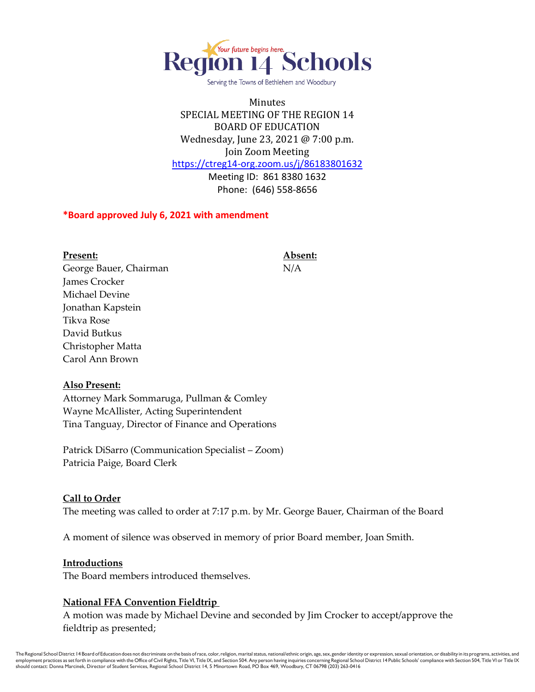

Serving the Towns of Bethlehem and Woodbury

Minutes SPECIAL MEETING OF THE REGION 14 BOARD OF EDUCATION Wednesday, June 23, 2021 @ 7:00 p.m. Join Zoom Meeting <https://ctreg14-org.zoom.us/j/86183801632> Meeting ID: 861 8380 1632 Phone: (646) 558-8656

#### **\*Board approved July 6, 2021 with amendment**

**Present: Absent:** George Bauer, Chairman N/A James Crocker Michael Devine Jonathan Kapstein Tikva Rose David Butkus Christopher Matta Carol Ann Brown

#### **Also Present:**

Attorney Mark Sommaruga, Pullman & Comley Wayne McAllister, Acting Superintendent Tina Tanguay, Director of Finance and Operations

Patrick DiSarro (Communication Specialist – Zoom) Patricia Paige, Board Clerk

#### **Call to Order**

The meeting was called to order at 7:17 p.m. by Mr. George Bauer, Chairman of the Board

A moment of silence was observed in memory of prior Board member, Joan Smith.

#### **Introductions**

The Board members introduced themselves.

### **National FFA Convention Fieldtrip**

A motion was made by Michael Devine and seconded by Jim Crocker to accept/approve the fieldtrip as presented;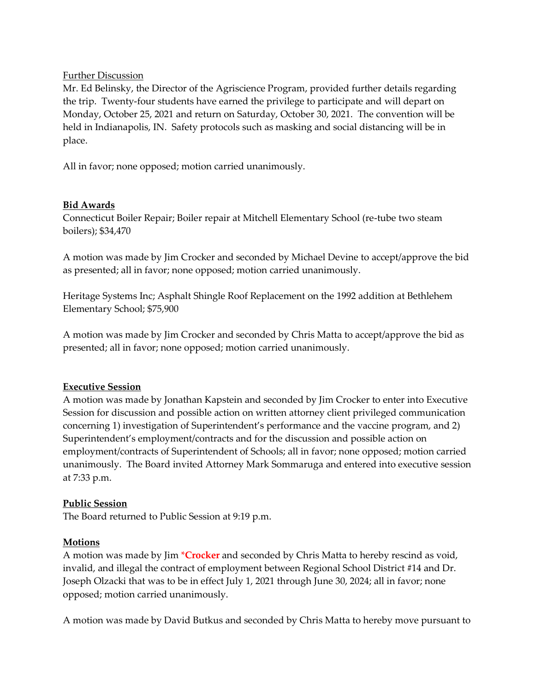## Further Discussion

Mr. Ed Belinsky, the Director of the Agriscience Program, provided further details regarding the trip. Twenty-four students have earned the privilege to participate and will depart on Monday, October 25, 2021 and return on Saturday, October 30, 2021. The convention will be held in Indianapolis, IN. Safety protocols such as masking and social distancing will be in place.

All in favor; none opposed; motion carried unanimously.

## **Bid Awards**

Connecticut Boiler Repair; Boiler repair at Mitchell Elementary School (re-tube two steam boilers); \$34,470

A motion was made by Jim Crocker and seconded by Michael Devine to accept/approve the bid as presented; all in favor; none opposed; motion carried unanimously.

Heritage Systems Inc; Asphalt Shingle Roof Replacement on the 1992 addition at Bethlehem Elementary School; \$75,900

A motion was made by Jim Crocker and seconded by Chris Matta to accept/approve the bid as presented; all in favor; none opposed; motion carried unanimously.

# **Executive Session**

A motion was made by Jonathan Kapstein and seconded by Jim Crocker to enter into Executive Session for discussion and possible action on written attorney client privileged communication concerning 1) investigation of Superintendent's performance and the vaccine program, and 2) Superintendent's employment/contracts and for the discussion and possible action on employment/contracts of Superintendent of Schools; all in favor; none opposed; motion carried unanimously. The Board invited Attorney Mark Sommaruga and entered into executive session at 7:33 p.m.

# **Public Session**

The Board returned to Public Session at 9:19 p.m.

### **Motions**

A motion was made by Jim \***Crocker** and seconded by Chris Matta to hereby rescind as void, invalid, and illegal the contract of employment between Regional School District #14 and Dr. Joseph Olzacki that was to be in effect July 1, 2021 through June 30, 2024; all in favor; none opposed; motion carried unanimously.

A motion was made by David Butkus and seconded by Chris Matta to hereby move pursuant to